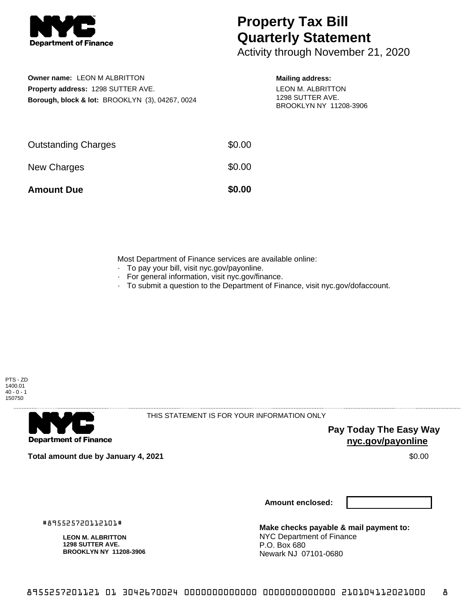

# **Property Tax Bill Quarterly Statement**

Activity through November 21, 2020

## **Owner name:** LEON M ALBRITTON **Property address:** 1298 SUTTER AVE. **Borough, block & lot:** BROOKLYN (3), 04267, 0024

#### **Mailing address:**

LEON M. ALBRITTON 1298 SUTTER AVE. BROOKLYN NY 11208-3906

| <b>Amount Due</b>          | \$0.00 |
|----------------------------|--------|
| New Charges                | \$0.00 |
| <b>Outstanding Charges</b> | \$0.00 |

Most Department of Finance services are available online:

- · To pay your bill, visit nyc.gov/payonline.
- For general information, visit nyc.gov/finance.
- · To submit a question to the Department of Finance, visit nyc.gov/dofaccount.



**Department of Finance** 

THIS STATEMENT IS FOR YOUR INFORMATION ONLY

**Pay Today The Easy Way nyc.gov/payonline**

**Total amount due by January 4, 2021** \$0.00

**Amount enclosed:**

#895525720112101#

**LEON M. ALBRITTON 1298 SUTTER AVE. BROOKLYN NY 11208-3906**

**Make checks payable & mail payment to:** NYC Department of Finance P.O. Box 680 Newark NJ 07101-0680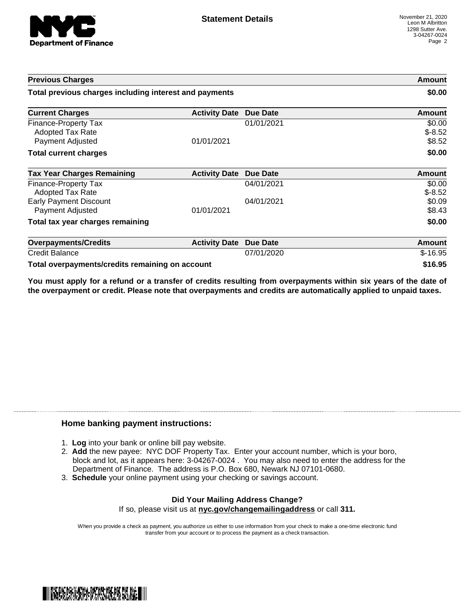

| <b>Previous Charges</b>                                             |                      |                 | Amount                       |
|---------------------------------------------------------------------|----------------------|-----------------|------------------------------|
| Total previous charges including interest and payments              |                      | \$0.00          |                              |
| <b>Current Charges</b>                                              | <b>Activity Date</b> | <b>Due Date</b> | Amount                       |
| Finance-Property Tax<br><b>Adopted Tax Rate</b><br>Payment Adjusted | 01/01/2021           | 01/01/2021      | \$0.00<br>$$-8.52$<br>\$8.52 |
| <b>Total current charges</b>                                        |                      |                 | \$0.00                       |
| <b>Tax Year Charges Remaining</b>                                   | <b>Activity Date</b> | <b>Due Date</b> | <b>Amount</b>                |
| <b>Finance-Property Tax</b><br>Adopted Tax Rate                     |                      | 04/01/2021      | \$0.00<br>$$-8.52$           |
| <b>Early Payment Discount</b><br>Payment Adjusted                   | 01/01/2021           | 04/01/2021      | \$0.09<br>\$8.43             |
| Total tax year charges remaining                                    |                      |                 | \$0.00                       |
| <b>Overpayments/Credits</b>                                         | <b>Activity Date</b> | <b>Due Date</b> | <b>Amount</b>                |
| <b>Credit Balance</b>                                               |                      | 07/01/2020      | $$-16.95$                    |
| Total overpayments/credits remaining on account                     |                      |                 | \$16.95                      |

You must apply for a refund or a transfer of credits resulting from overpayments within six years of the date of **the overpayment or credit. Please note that overpayments and credits are automatically applied to unpaid taxes.**

### **Home banking payment instructions:**

- 1. **Log** into your bank or online bill pay website.
- 2. **Add** the new payee: NYC DOF Property Tax. Enter your account number, which is your boro, block and lot, as it appears here: 3-04267-0024 . You may also need to enter the address for the Department of Finance. The address is P.O. Box 680, Newark NJ 07101-0680.
- 3. **Schedule** your online payment using your checking or savings account.

#### **Did Your Mailing Address Change?** If so, please visit us at **nyc.gov/changemailingaddress** or call **311.**

When you provide a check as payment, you authorize us either to use information from your check to make a one-time electronic fund transfer from your account or to process the payment as a check transaction.